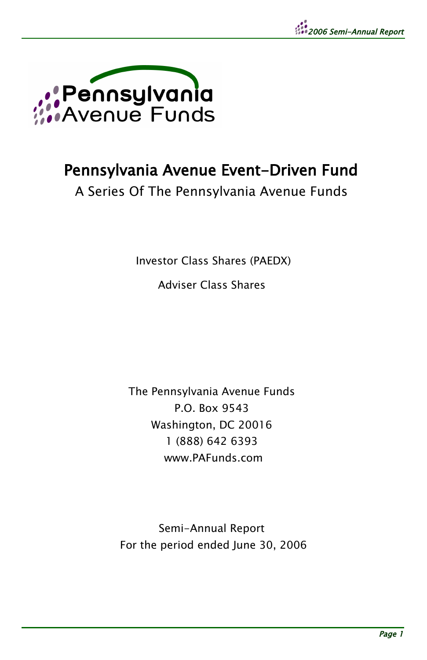

# Pennsylvania Avenue Event-Driven Fund

A Series Of The Pennsylvania Avenue Funds

Investor Class Shares (PAEDX)

Adviser Class Shares

The Pennsylvania Avenue Funds P.O. Box 9543 Washington, DC 20016 1 (888) 642 6393 www.PAFunds.com

Semi-Annual Report For the period ended June 30, 2006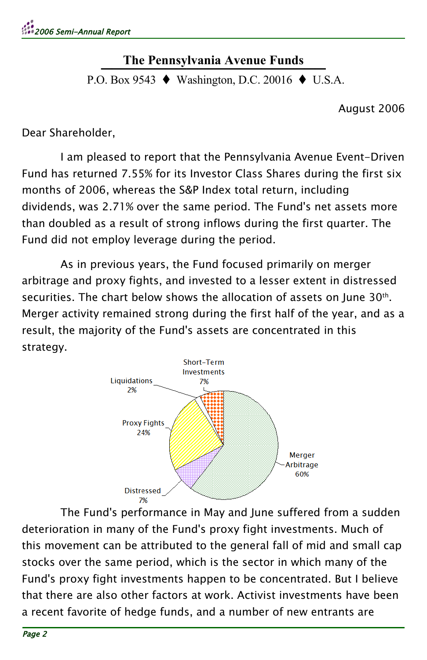#### **The Pennsylvania Avenue Funds** <u><u><u> The Femsylvania</u> Avenue Punus</u></u>

P.O. Box 9543 ♦ Washington, D.C. 20016 ♦ U.S.A.

August 2006

Dear Shareholder,

I am pleased to report that the Pennsylvania Avenue Event-Driven Fund has returned 7.55% for its Investor Class Shares during the first six months of 2006, whereas the S&P Index total return, including dividends, was 2.71% over the same period. The Fund's net assets more than doubled as a result of strong inflows during the first quarter. The Fund did not employ leverage during the period.

As in previous years, the Fund focused primarily on merger arbitrage and proxy fights, and invested to a lesser extent in distressed securities. The chart below shows the allocation of assets on June 30<sup>th</sup>. Merger activity remained strong during the first half of the year, and as a result, the majority of the Fund's assets are concentrated in this strategy.



The Fund's performance in May and June suffered from a sudden deterioration in many of the Fund's proxy fight investments. Much of this movement can be attributed to the general fall of mid and small cap stocks over the same period, which is the sector in which many of the Fund's proxy fight investments happen to be concentrated. But I believe that there are also other factors at work. Activist investments have been a recent favorite of hedge funds, and a number of new entrants are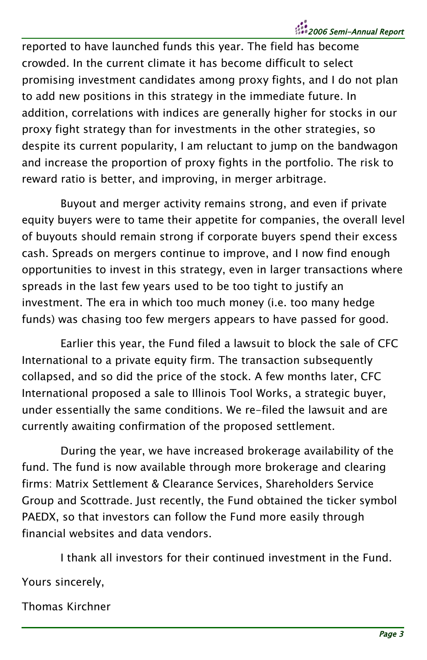# 2006 Semi-Annual Report

reported to have launched funds this year. The field has become crowded. In the current climate it has become difficult to select promising investment candidates among proxy fights, and I do not plan to add new positions in this strategy in the immediate future. In addition, correlations with indices are generally higher for stocks in our proxy fight strategy than for investments in the other strategies, so despite its current popularity, I am reluctant to jump on the bandwagon and increase the proportion of proxy fights in the portfolio. The risk to reward ratio is better, and improving, in merger arbitrage.

Buyout and merger activity remains strong, and even if private equity buyers were to tame their appetite for companies, the overall level of buyouts should remain strong if corporate buyers spend their excess cash. Spreads on mergers continue to improve, and I now find enough opportunities to invest in this strategy, even in larger transactions where spreads in the last few years used to be too tight to justify an investment. The era in which too much money (i.e. too many hedge funds) was chasing too few mergers appears to have passed for good.

Earlier this year, the Fund filed a lawsuit to block the sale of CFC International to a private equity firm. The transaction subsequently collapsed, and so did the price of the stock. A few months later, CFC International proposed a sale to Illinois Tool Works, a strategic buyer, under essentially the same conditions. We re-filed the lawsuit and are currently awaiting confirmation of the proposed settlement.

During the year, we have increased brokerage availability of the fund. The fund is now available through more brokerage and clearing firms: Matrix Settlement & Clearance Services, Shareholders Service Group and Scottrade. Just recently, the Fund obtained the ticker symbol PAEDX, so that investors can follow the Fund more easily through financial websites and data vendors.

I thank all investors for their continued investment in the Fund.

Yours sincerely,

Thomas Kirchner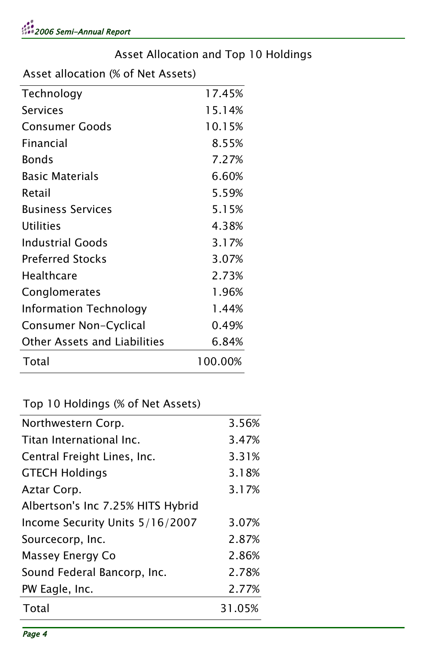#### Asset Allocation and Top 10 Holdings

Asset allocation (% of Net Assets)

| Technology                    | 17.45%  |
|-------------------------------|---------|
| Services                      | 15.14%  |
| Consumer Goods                | 10.15%  |
| Financial                     | 8.55%   |
| Bonds                         | 7.27%   |
| <b>Basic Materials</b>        | 6.60%   |
| Retail                        | 5.59%   |
| <b>Business Services</b>      | 5.15%   |
| Utilities                     | 4.38%   |
| <b>Industrial Goods</b>       | 3.17%   |
| <b>Preferred Stocks</b>       | 3.07%   |
| Healthcare                    | 2.73%   |
| Conglomerates                 | 1.96%   |
| <b>Information Technology</b> | 1.44%   |
| Consumer Non-Cyclical         | 0.49%   |
| Other Assets and Liabilities  | 6.84%   |
| Total                         | 100.00% |

#### Top 10 Holdings (% of Net Assets)

| Total<br>31.05% |                                   |       |
|-----------------|-----------------------------------|-------|
|                 | Northwestern Corp.                | 3.56% |
|                 | Titan International Inc.          | 3.47% |
|                 | Central Freight Lines, Inc.       | 3.31% |
|                 | <b>GTECH Holdings</b>             | 3.18% |
|                 | Aztar Corp.                       | 3.17% |
|                 | Albertson's Inc 7.25% HITS Hybrid |       |
|                 | Income Security Units 5/16/2007   | 3.07% |
|                 | Sourcecorp, Inc.                  | 2.87% |
|                 | Massey Energy Co                  | 2.86% |
|                 | Sound Federal Bancorp, Inc.       | 2.78% |
|                 | PW Eagle, Inc.                    | 2.77% |
|                 |                                   |       |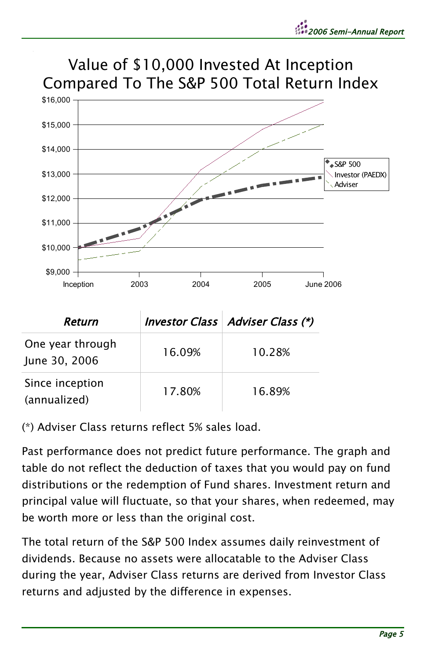



| Return                            |        | Investor Class   Adviser Class (*) |
|-----------------------------------|--------|------------------------------------|
| One year through<br>June 30, 2006 | 16.09% | 10.28%                             |
| Since inception<br>(annualized)   | 17.80% | 16.89%                             |

(\*) Adviser Class returns reflect 5% sales load.

Past performance does not predict future performance. The graph and table do not reflect the deduction of taxes that you would pay on fund distributions or the redemption of Fund shares. Investment return and principal value will fluctuate, so that your shares, when redeemed, may be worth more or less than the original cost.

The total return of the S&P 500 Index assumes daily reinvestment of dividends. Because no assets were allocatable to the Adviser Class during the year, Adviser Class returns are derived from Investor Class returns and adjusted by the difference in expenses.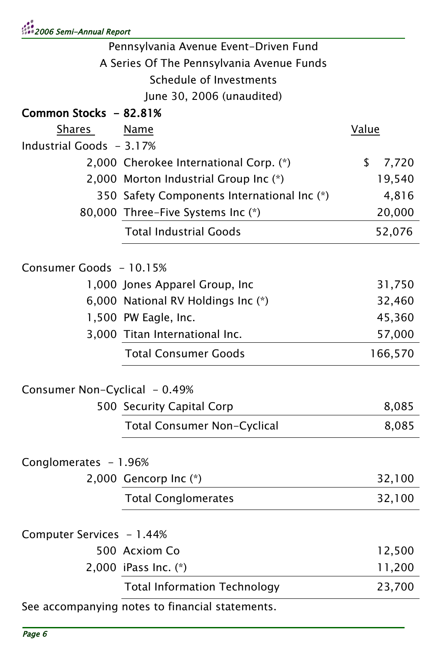|                                           | Pennsylvania Avenue Event-Driven Fund           |              |
|-------------------------------------------|-------------------------------------------------|--------------|
| A Series Of The Pennsylvania Avenue Funds |                                                 |              |
|                                           | Schedule of Investments                         |              |
|                                           | June 30, 2006 (unaudited)                       |              |
| Common Stocks - 82.81%                    |                                                 |              |
| Shares                                    | Name                                            | <b>Value</b> |
| Industrial Goods - 3.17%                  |                                                 |              |
|                                           | 2,000 Cherokee International Corp. (*)          | \$<br>7,720  |
|                                           | 2,000 Morton Industrial Group Inc (*)           | 19,540       |
|                                           | 350 Safety Components International Inc (*)     | 4,816        |
|                                           | 80,000 Three-Five Systems Inc (*)               | 20,000       |
|                                           | <b>Total Industrial Goods</b>                   | 52,076       |
| Consumer Goods - 10.15%                   |                                                 |              |
|                                           | 1,000 Jones Apparel Group, Inc                  | 31,750       |
|                                           | 6,000 National RV Holdings Inc (*)              | 32,460       |
|                                           | 1,500 PW Eagle, Inc.                            | 45,360       |
|                                           | 3,000 Titan International Inc.                  | 57,000       |
|                                           | <b>Total Consumer Goods</b>                     | 166,570      |
| Consumer Non-Cyclical - 0.49%             |                                                 |              |
|                                           | 500 Security Capital Corp                       | 8,085        |
|                                           | Total Consumer Non-Cyclical                     | 8,085        |
| Conglomerates - 1.96%                     |                                                 |              |
|                                           | 2,000 Gencorp Inc $(*)$                         | 32,100       |
|                                           | <b>Total Conglomerates</b>                      | 32,100       |
| Computer Services - 1.44%                 |                                                 |              |
|                                           | 500 Acxiom Co                                   | 12,500       |
|                                           | 2,000 iPass Inc. (*)                            | 11,200       |
|                                           | <b>Total Information Technology</b>             | 23,700       |
|                                           | See accompanying notes to financial statements. |              |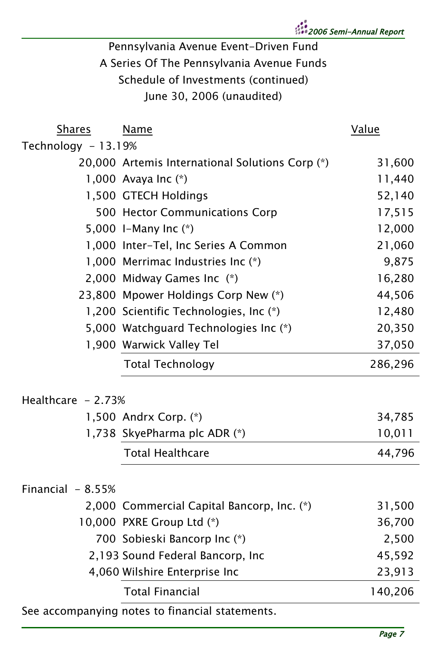2006 Semi-Annual Report

# Pennsylvania Avenue Event-Driven Fund A Series Of The Pennsylvania Avenue Funds Schedule of Investments (continued) June 30, 2006 (unaudited)

| Shares              | Name                                            | Value   |
|---------------------|-------------------------------------------------|---------|
| Technology - 13.19% |                                                 |         |
|                     | 20,000 Artemis International Solutions Corp (*) | 31,600  |
|                     | 1,000 Avaya Inc $(*)$                           | 11,440  |
|                     | 1,500 GTECH Holdings                            | 52,140  |
|                     | 500 Hector Communications Corp                  | 17,515  |
|                     | 5,000 I-Many Inc $(*)$                          | 12,000  |
|                     | 1,000 Inter-Tel, Inc Series A Common            | 21,060  |
|                     | 1,000 Merrimac Industries Inc (*)               | 9,875   |
|                     | 2,000 Midway Games Inc (*)                      | 16,280  |
|                     | 23,800 Mpower Holdings Corp New (*)             | 44,506  |
|                     | 1,200 Scientific Technologies, Inc (*)          | 12,480  |
|                     | 5,000 Watchguard Technologies Inc (*)           | 20,350  |
|                     | 1,900 Warwick Valley Tel                        | 37,050  |
|                     | <b>Total Technology</b>                         | 286,296 |
| Healthcare - 2.73%  |                                                 |         |
|                     | 1,500 Andrx Corp. (*)                           | 34,785  |
|                     | 1,738 SkyePharma plc ADR (*)                    | 10,011  |
|                     | <b>Total Healthcare</b>                         | 44,796  |
| Financial $-8.55%$  |                                                 |         |
|                     | 2,000 Commercial Capital Bancorp, Inc. (*)      | 31,500  |
|                     | 10,000 PXRE Group Ltd (*)                       | 36,700  |
|                     | 700 Sobieski Bancorp Inc (*)                    | 2,500   |
|                     | 2,193 Sound Federal Bancorp, Inc                | 45,592  |
|                     | 4,060 Wilshire Enterprise Inc                   | 23,913  |
|                     | <b>Total Financial</b>                          | 140,206 |
|                     |                                                 |         |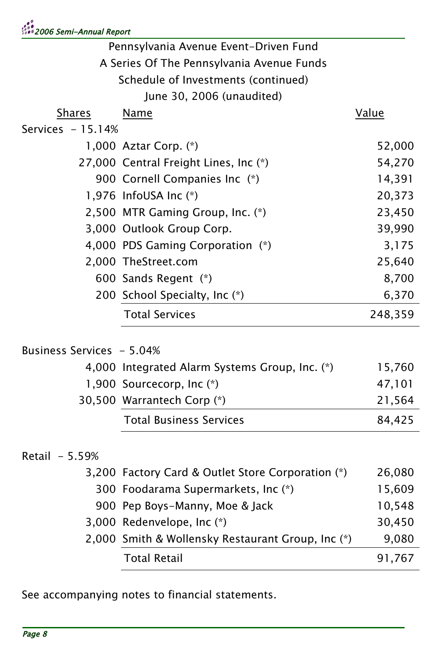| Pennsylvania Avenue Event-Driven Fund     |                                                   |         |
|-------------------------------------------|---------------------------------------------------|---------|
| A Series Of The Pennsylvania Avenue Funds |                                                   |         |
| Schedule of Investments (continued)       |                                                   |         |
|                                           | June 30, 2006 (unaudited)                         |         |
| <b>Shares</b>                             | <u>Name</u>                                       | Value   |
| Services $-15.14%$                        |                                                   |         |
|                                           | 1,000 Aztar Corp. (*)                             | 52,000  |
|                                           | 27,000 Central Freight Lines, Inc (*)             | 54,270  |
|                                           | 900 Cornell Companies Inc (*)                     | 14,391  |
|                                           | 1,976 InfoUSA Inc (*)                             | 20,373  |
|                                           | 2,500 MTR Gaming Group, Inc. (*)                  | 23,450  |
|                                           | 3,000 Outlook Group Corp.                         | 39,990  |
|                                           | 4,000 PDS Gaming Corporation (*)                  | 3,175   |
|                                           | 2,000 TheStreet.com                               | 25,640  |
|                                           | 600 Sands Regent (*)                              | 8,700   |
|                                           | 200 School Specialty, Inc (*)                     | 6,370   |
|                                           | <b>Total Services</b>                             | 248,359 |
| Business Services  – 5.04%                |                                                   |         |
|                                           | 4,000 Integrated Alarm Systems Group, Inc. (*)    | 15,760  |
|                                           | 1,900 Sourcecorp, Inc (*)                         | 47,101  |
|                                           | 30,500 Warrantech Corp (*)                        | 21,564  |
|                                           |                                                   |         |
|                                           | <b>Total Business Services</b>                    | 84,425  |
| Retail - 5.59%                            |                                                   |         |
|                                           | 3,200 Factory Card & Outlet Store Corporation (*) | 26,080  |
|                                           | 300 Foodarama Supermarkets, Inc (*)               | 15,609  |
|                                           | 900 Pep Boys-Manny, Moe & Jack                    | 10,548  |
|                                           | 3,000 Redenvelope, Inc (*)                        | 30,450  |
|                                           | 2,000 Smith & Wollensky Restaurant Group, Inc (*) | 9,080   |
|                                           | <b>Total Retail</b>                               | 91,767  |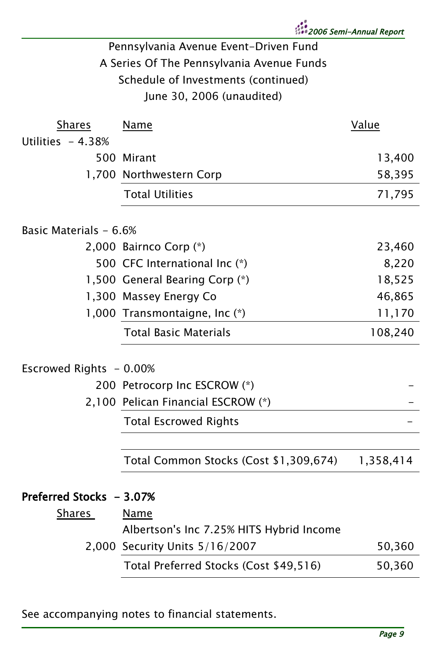2006 Semi-Annual Report

# Pennsylvania Avenue Event-Driven Fund A Series Of The Pennsylvania Avenue Funds Schedule of Investments (continued) June 30, 2006 (unaudited)

| <b>Shares</b>            | Name                                                    | Value     |
|--------------------------|---------------------------------------------------------|-----------|
| Utilities $-4.38%$       |                                                         |           |
|                          | 500 Mirant                                              | 13,400    |
|                          | 1,700 Northwestern Corp                                 | 58,395    |
|                          | <b>Total Utilities</b>                                  | 71,795    |
| Basic Materials - 6.6%   |                                                         |           |
|                          | 2,000 Bairnco Corp (*)                                  | 23,460    |
|                          | 500 CFC International Inc (*)                           | 8,220     |
|                          | 1,500 General Bearing Corp (*)                          | 18,525    |
|                          | 1,300 Massey Energy Co                                  | 46,865    |
|                          | 1,000 Transmontaigne, Inc (*)                           | 11,170    |
|                          | <b>Total Basic Materials</b>                            | 108,240   |
|                          |                                                         |           |
| Escrowed Rights - 0.00%  |                                                         |           |
|                          | 200 Petrocorp Inc ESCROW (*)                            |           |
|                          | 2,100 Pelican Financial ESCROW (*)                      |           |
|                          | <b>Total Escrowed Rights</b>                            |           |
|                          |                                                         |           |
|                          | Total Common Stocks (Cost \$1,309,674)                  | 1,358,414 |
| Preferred Stocks - 3.07% |                                                         |           |
|                          |                                                         |           |
| Shares                   | <b>Name</b><br>Albertson's Inc 7.25% HITS Hybrid Income |           |
|                          | 2,000 Security Units 5/16/2007                          | 50,360    |
|                          |                                                         |           |
|                          | Total Preferred Stocks (Cost \$49,516)                  | 50,360    |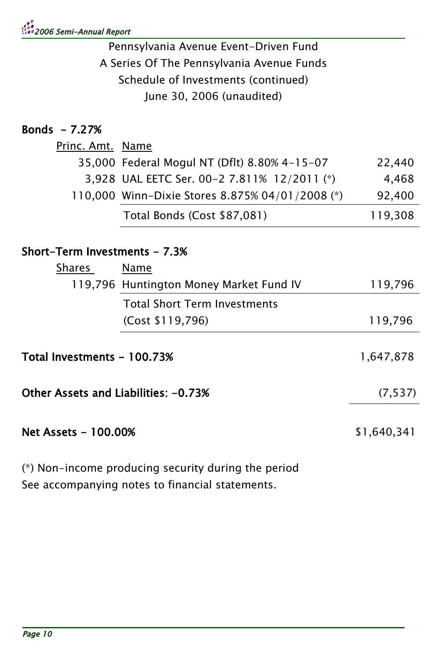# 2006 Semi-Annual Report

Pennsylvania Avenue Event-Driven Fund A Series Of The Pennsylvania Avenue Funds Schedule of Investments (continued) June 30, 2006 (unaudited)

# Bonds - 7.27%

| <u>Princ. Amt. Name</u> |                                                 |         |
|-------------------------|-------------------------------------------------|---------|
|                         | 35,000 Federal Mogul NT (Dflt) 8.80% 4-15-07    | 22.440  |
|                         | 3,928 UAL EETC Ser. 00-2 7.811% 12/2011 (*)     | 4.468   |
|                         | 110,000 Winn-Dixie Stores 8.875% 04/01/2008 (*) | 92,400  |
|                         | Total Bonds (Cost \$87,081)                     | 119.308 |

#### Short-Term Investments - 7.3%

| <b>Shares</b>                        | Name                                    |             |
|--------------------------------------|-----------------------------------------|-------------|
|                                      | 119,796 Huntington Money Market Fund IV | 119,796     |
|                                      | <b>Total Short Term Investments</b>     |             |
|                                      | (Cost \$119,796)                        | 119,796     |
| Total Investments – 100.73%          |                                         | 1,647,878   |
| Other Assets and Liabilities: -0.73% |                                         | (7, 537)    |
| Net Assets – 100.00%                 |                                         | \$1,640,341 |

(\*) Non-income producing security during the period See accompanying notes to financial statements.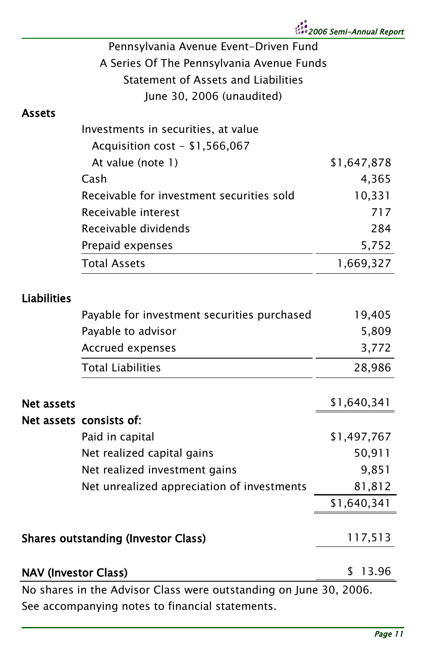| Pennsylvania Avenue Event-Driven Fund     |
|-------------------------------------------|
| A Series Of The Pennsylvania Avenue Funds |
| Statement of Assets and Liabilities       |
| June 30, 2006 (unaudited)                 |

#### Assets

| Investments in securities, at value       |             |
|-------------------------------------------|-------------|
| Acquisition cost - $$1,566,067$           |             |
| At value (note 1)                         | \$1,647,878 |
| Cash                                      | 4,365       |
| Receivable for investment securities sold | 10,331      |
| Receivable interest                       | 717         |
| Receivable dividends                      | 284         |
| Prepaid expenses                          | 5,752       |
| <b>Total Assets</b>                       | 1.669.327   |
|                                           |             |

### Liabilities

|                                            | Payable for investment securities purchased                       | 19,405      |
|--------------------------------------------|-------------------------------------------------------------------|-------------|
|                                            | Payable to advisor                                                | 5,809       |
|                                            | Accrued expenses                                                  | 3,772       |
|                                            | <b>Total Liabilities</b>                                          | 28,986      |
| Net assets                                 |                                                                   | \$1,640,341 |
|                                            | Net assets consists of:                                           |             |
|                                            | Paid in capital                                                   | \$1,497,767 |
|                                            | Net realized capital gains                                        | 50,911      |
|                                            | Net realized investment gains                                     | 9,851       |
|                                            | Net unrealized appreciation of investments                        | 81,812      |
|                                            |                                                                   | \$1,640,341 |
|                                            |                                                                   |             |
| <b>Shares outstanding (Investor Class)</b> |                                                                   | 117,513     |
|                                            |                                                                   |             |
| <b>NAV (Investor Class)</b>                |                                                                   | 13.96<br>S  |
|                                            | No shares in the Advisor Class were outstanding on June 30, 2006. |             |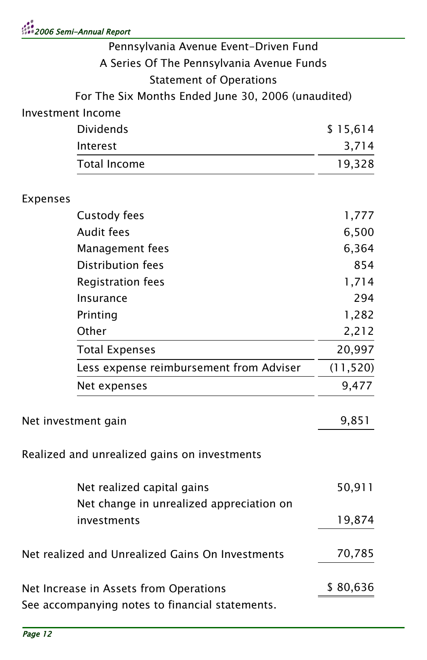| :<br>2006 Semi-Annual Report |  |
|------------------------------|--|
|------------------------------|--|

| Pennsylvania Avenue Event-Driven Fund              |           |
|----------------------------------------------------|-----------|
| A Series Of The Pennsylvania Avenue Funds          |           |
| <b>Statement of Operations</b>                     |           |
| For The Six Months Ended June 30, 2006 (unaudited) |           |
| Investment Income                                  |           |
| <b>Dividends</b>                                   | \$15,614  |
| Interest                                           | 3,714     |
| <b>Total Income</b>                                | 19,328    |
| Expenses                                           |           |
| Custody fees                                       | 1,777     |
| <b>Audit fees</b>                                  | 6,500     |
| Management fees                                    | 6,364     |
| <b>Distribution fees</b>                           | 854       |
| <b>Registration fees</b>                           | 1,714     |
| <b>Insurance</b>                                   | 294       |
| Printing                                           | 1,282     |
| Other                                              | 2,212     |
| <b>Total Expenses</b>                              | 20,997    |
| Less expense reimbursement from Adviser            | (11, 520) |
| Net expenses                                       | 9,477     |
| Net investment gain                                | 9,851     |
| Realized and unrealized gains on investments       |           |
| Net realized capital gains                         | 50,911    |
| Net change in unrealized appreciation on           |           |
| investments                                        | 19,874    |
| Net realized and Unrealized Gains On Investments   | 70,785    |
| Net Increase in Assets from Operations             | \$80,636  |
| See accompanying notes to financial statements.    |           |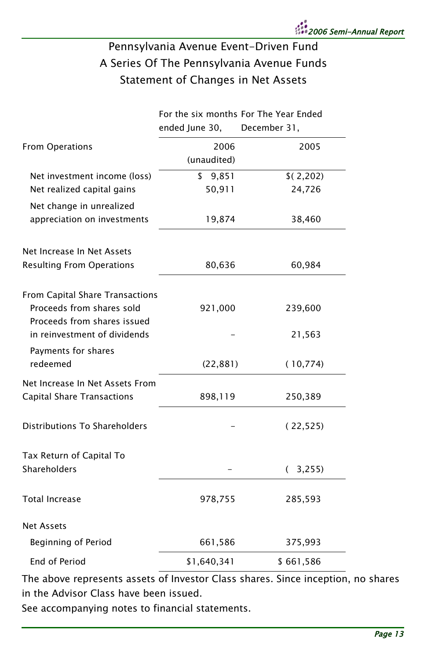### Pennsylvania Avenue Event-Driven Fund A Series Of The Pennsylvania Avenue Funds Statement of Changes in Net Assets

|                                                             |                | For the six months For The Year Ended |
|-------------------------------------------------------------|----------------|---------------------------------------|
|                                                             | ended June 30, | December 31,                          |
| <b>From Operations</b>                                      | 2006           | 2005                                  |
|                                                             | (unaudited)    |                                       |
| Net investment income (loss)                                | \$<br>9,851    | \$(2,202)                             |
| Net realized capital gains                                  | 50,911         | 24,726                                |
| Net change in unrealized                                    |                |                                       |
| appreciation on investments                                 | 19,874         | 38,460                                |
| Net Increase In Net Assets                                  |                |                                       |
| <b>Resulting From Operations</b>                            | 80,636         | 60,984                                |
| From Capital Share Transactions                             |                |                                       |
| Proceeds from shares sold                                   | 921,000        | 239,600                               |
| Proceeds from shares issued<br>in reinvestment of dividends |                | 21,563                                |
| Payments for shares                                         |                |                                       |
| redeemed                                                    | (22, 881)      | (10, 774)                             |
| Net Increase In Net Assets From                             |                |                                       |
| <b>Capital Share Transactions</b>                           | 898,119        | 250,389                               |
| Distributions To Shareholders                               |                | (22, 525)                             |
| Tax Return of Capital To                                    |                |                                       |
| Shareholders                                                |                | (3,255)                               |
| <b>Total Increase</b>                                       | 978,755        | 285,593                               |
| <b>Net Assets</b>                                           |                |                                       |
| Beginning of Period                                         | 661,586        | 375,993                               |
| End of Period                                               | \$1,640,341    | \$661,586                             |

The above represents assets of Investor Class shares. Since inception, no shares in the Advisor Class have been issued.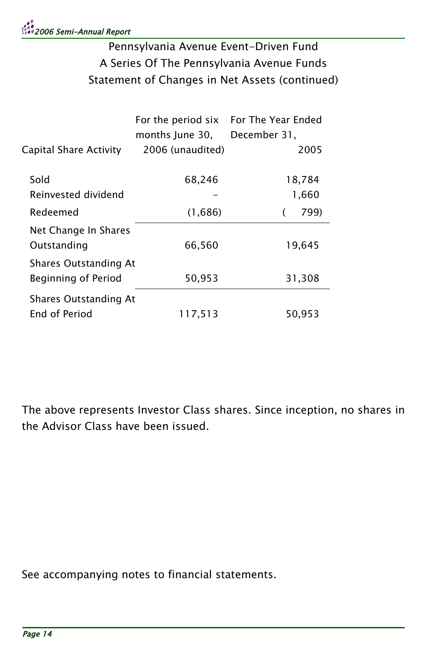# Pennsylvania Avenue Event-Driven Fund A Series Of The Pennsylvania Avenue Funds Statement of Changes in Net Assets (continued)

|                        |                  | For the period six For The Year Ended |
|------------------------|------------------|---------------------------------------|
|                        | months June 30.  | December 31,                          |
| Capital Share Activity | 2006 (unaudited) | 2005                                  |
|                        |                  |                                       |
| Sold                   | 68,246           | 18,784                                |
| Reinvested dividend    |                  | 1,660                                 |
| Redeemed               | (1,686)          | 799)                                  |
| Net Change In Shares   |                  |                                       |
| Outstanding            | 66,560           | 19,645                                |
| Shares Outstanding At  |                  |                                       |
| Beginning of Period    | 50,953           | 31,308                                |
| Shares Outstanding At  |                  |                                       |
| End of Period          | 117,513          | 50,953                                |
|                        |                  |                                       |

The above represents Investor Class shares. Since inception, no shares in the Advisor Class have been issued.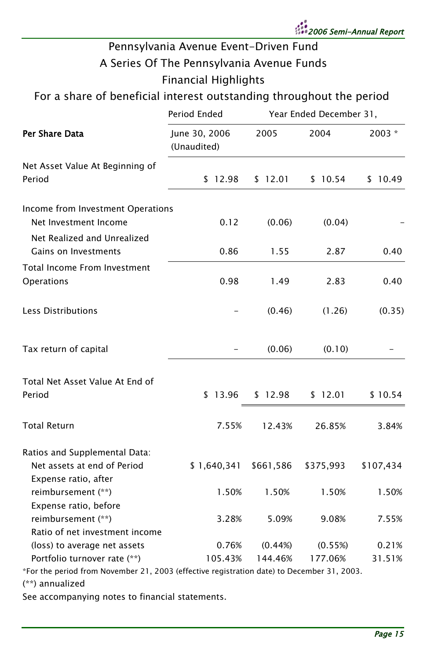

# Pennsylvania Avenue Event-Driven Fund A Series Of The Pennsylvania Avenue Funds Financial Highlights

### For a share of beneficial interest outstanding throughout the period

|                                                                                            | Period Ended                 | Year Ended December 31, |           |           |
|--------------------------------------------------------------------------------------------|------------------------------|-------------------------|-----------|-----------|
| Per Share Data                                                                             | June 30, 2006<br>(Unaudited) | 2005                    | 2004      | $2003 *$  |
| Net Asset Value At Beginning of<br>Period                                                  | \$12.98                      | \$12.01                 | \$10.54   | \$10.49   |
| Income from Investment Operations<br>Net Investment Income                                 | 0.12                         | (0.06)                  | (0.04)    |           |
| Net Realized and Unrealized<br>Gains on Investments                                        | 0.86                         | 1.55                    | 2.87      | 0.40      |
| Total Income From Investment<br>Operations                                                 | 0.98                         | 1.49                    | 2.83      | 0.40      |
| Less Distributions                                                                         |                              | (0.46)                  | (1.26)    | (0.35)    |
| Tax return of capital                                                                      |                              | (0.06)                  | (0.10)    |           |
| Total Net Asset Value At End of<br>Period                                                  | \$13.96                      | \$12.98                 | \$12.01   | \$10.54   |
| <b>Total Return</b>                                                                        | 7.55%                        | 12.43%                  | 26.85%    | 3.84%     |
| Ratios and Supplemental Data:<br>Net assets at end of Period<br>Expense ratio, after       | \$1,640,341                  | \$661,586               | \$375,993 | \$107,434 |
| reimbursement (**)<br>Expense ratio, before                                                | 1.50%                        | 1.50%                   | 1.50%     | 1.50%     |
| reimbursement (**)<br>Ratio of net investment income                                       | 3.28%                        | 5.09%                   | 9.08%     | 7.55%     |
| (loss) to average net assets                                                               | 0.76%                        | (0.44%)                 | (0.55%)   | 0.21%     |
| Portfolio turnover rate (**)                                                               | 105.43%                      | 144.46%                 | 177.06%   | 31.51%    |
| *For the period from November 21, 2003 (effective registration date) to December 31, 2003. |                              |                         |           |           |
| (**) annualized                                                                            |                              |                         |           |           |
|                                                                                            |                              |                         |           |           |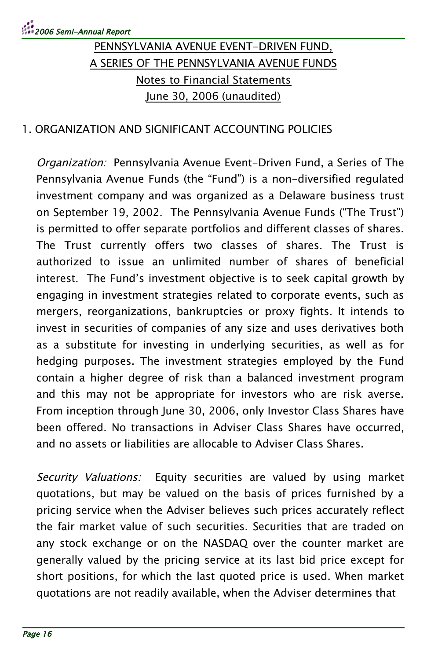#### 1. ORGANIZATION AND SIGNIFICANT ACCOUNTING POLICIES

Organization: Pennsylvania Avenue Event-Driven Fund, a Series of The Pennsylvania Avenue Funds (the "Fund") is a non-diversified regulated investment company and was organized as a Delaware business trust on September 19, 2002. The Pennsylvania Avenue Funds ("The Trust") is permitted to offer separate portfolios and different classes of shares. The Trust currently offers two classes of shares. The Trust is authorized to issue an unlimited number of shares of beneficial interest. The Fund's investment objective is to seek capital growth by engaging in investment strategies related to corporate events, such as mergers, reorganizations, bankruptcies or proxy fights. It intends to invest in securities of companies of any size and uses derivatives both as a substitute for investing in underlying securities, as well as for hedging purposes. The investment strategies employed by the Fund contain a higher degree of risk than a balanced investment program and this may not be appropriate for investors who are risk averse. From inception through June 30, 2006, only Investor Class Shares have been offered. No transactions in Adviser Class Shares have occurred, and no assets or liabilities are allocable to Adviser Class Shares.

Security Valuations: Equity securities are valued by using market quotations, but may be valued on the basis of prices furnished by a pricing service when the Adviser believes such prices accurately reflect the fair market value of such securities. Securities that are traded on any stock exchange or on the NASDAQ over the counter market are generally valued by the pricing service at its last bid price except for short positions, for which the last quoted price is used. When market quotations are not readily available, when the Adviser determines that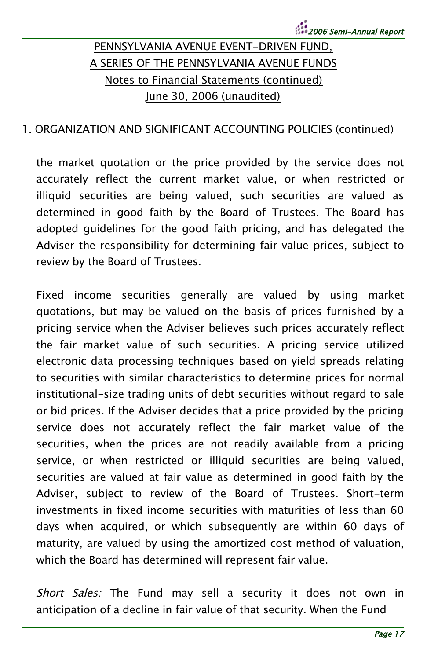#### 1. ORGANIZATION AND SIGNIFICANT ACCOUNTING POLICIES (continued)

the market quotation or the price provided by the service does not accurately reflect the current market value, or when restricted or illiquid securities are being valued, such securities are valued as determined in good faith by the Board of Trustees. The Board has adopted guidelines for the good faith pricing, and has delegated the Adviser the responsibility for determining fair value prices, subject to review by the Board of Trustees.

Fixed income securities generally are valued by using market quotations, but may be valued on the basis of prices furnished by a pricing service when the Adviser believes such prices accurately reflect the fair market value of such securities. A pricing service utilized electronic data processing techniques based on yield spreads relating to securities with similar characteristics to determine prices for normal institutional-size trading units of debt securities without regard to sale or bid prices. If the Adviser decides that a price provided by the pricing service does not accurately reflect the fair market value of the securities, when the prices are not readily available from a pricing service, or when restricted or illiquid securities are being valued, securities are valued at fair value as determined in good faith by the Adviser, subject to review of the Board of Trustees. Short-term investments in fixed income securities with maturities of less than 60 days when acquired, or which subsequently are within 60 days of maturity, are valued by using the amortized cost method of valuation, which the Board has determined will represent fair value.

Short Sales: The Fund may sell a security it does not own in anticipation of a decline in fair value of that security. When the Fund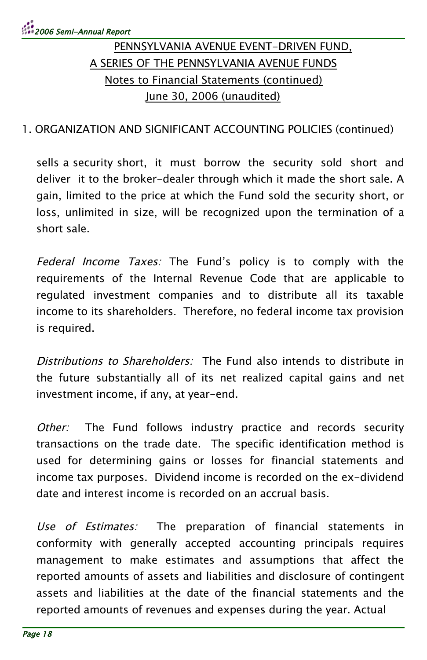#### 1. ORGANIZATION AND SIGNIFICANT ACCOUNTING POLICIES (continued)

sells a security short, it must borrow the security sold short and deliver it to the broker-dealer through which it made the short sale. A gain, limited to the price at which the Fund sold the security short, or loss, unlimited in size, will be recognized upon the termination of a short sale.

Federal Income Taxes: The Fund's policy is to comply with the requirements of the Internal Revenue Code that are applicable to regulated investment companies and to distribute all its taxable income to its shareholders. Therefore, no federal income tax provision is required.

Distributions to Shareholders: The Fund also intends to distribute in the future substantially all of its net realized capital gains and net investment income, if any, at year-end.

Other: The Fund follows industry practice and records security transactions on the trade date. The specific identification method is used for determining gains or losses for financial statements and income tax purposes. Dividend income is recorded on the ex-dividend date and interest income is recorded on an accrual basis.

Use of Estimates: The preparation of financial statements in conformity with generally accepted accounting principals requires management to make estimates and assumptions that affect the reported amounts of assets and liabilities and disclosure of contingent assets and liabilities at the date of the financial statements and the reported amounts of revenues and expenses during the year. Actual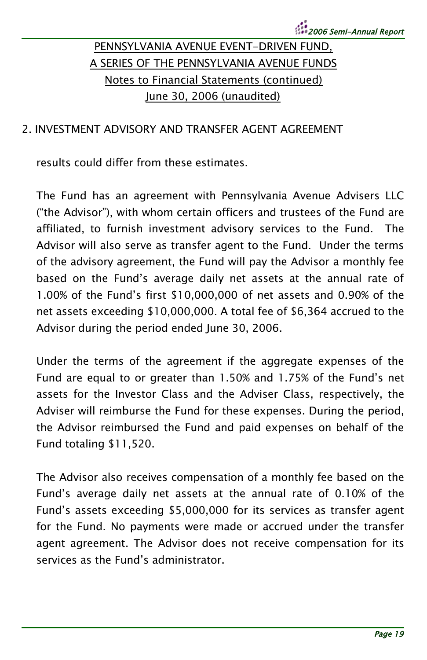#### 2. INVESTMENT ADVISORY AND TRANSFER AGENT AGREEMENT

results could differ from these estimates.

The Fund has an agreement with Pennsylvania Avenue Advisers LLC ("the Advisor"), with whom certain officers and trustees of the Fund are affiliated, to furnish investment advisory services to the Fund. The Advisor will also serve as transfer agent to the Fund. Under the terms of the advisory agreement, the Fund will pay the Advisor a monthly fee based on the Fund's average daily net assets at the annual rate of 1.00% of the Fund's first \$10,000,000 of net assets and 0.90% of the net assets exceeding \$10,000,000. A total fee of \$6,364 accrued to the Advisor during the period ended June 30, 2006.

Under the terms of the agreement if the aggregate expenses of the Fund are equal to or greater than 1.50% and 1.75% of the Fund's net assets for the Investor Class and the Adviser Class, respectively, the Adviser will reimburse the Fund for these expenses. During the period, the Advisor reimbursed the Fund and paid expenses on behalf of the Fund totaling \$11,520.

The Advisor also receives compensation of a monthly fee based on the Fund's average daily net assets at the annual rate of 0.10% of the Fund's assets exceeding \$5,000,000 for its services as transfer agent for the Fund. No payments were made or accrued under the transfer agent agreement. The Advisor does not receive compensation for its services as the Fund's administrator.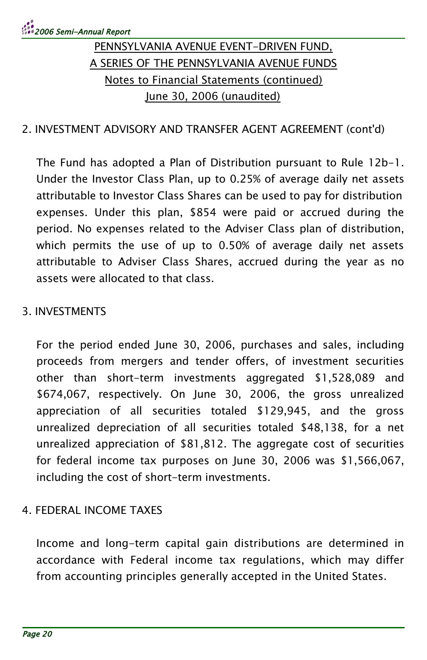#### 2. INVESTMENT ADVISORY AND TRANSFER AGENT AGREEMENT (cont'd)

The Fund has adopted a Plan of Distribution pursuant to Rule 12b-1. Under the Investor Class Plan, up to 0.25% of average daily net assets attributable to Investor Class Shares can be used to pay for distribution expenses. Under this plan, \$854 were paid or accrued during the period. No expenses related to the Adviser Class plan of distribution, which permits the use of up to 0.50% of average daily net assets attributable to Adviser Class Shares, accrued during the year as no assets were allocated to that class.

#### 3. INVESTMENTS

For the period ended June 30, 2006, purchases and sales, including proceeds from mergers and tender offers, of investment securities other than short-term investments aggregated \$1,528,089 and \$674,067, respectively. On June 30, 2006, the gross unrealized appreciation of all securities totaled \$129,945, and the gross unrealized depreciation of all securities totaled \$48,138, for a net unrealized appreciation of \$81,812. The aggregate cost of securities for federal income tax purposes on June 30, 2006 was \$1,566,067, including the cost of short-term investments.

#### 4. FEDERAL INCOME TAXES

Income and long-term capital gain distributions are determined in accordance with Federal income tax regulations, which may differ from accounting principles generally accepted in the United States.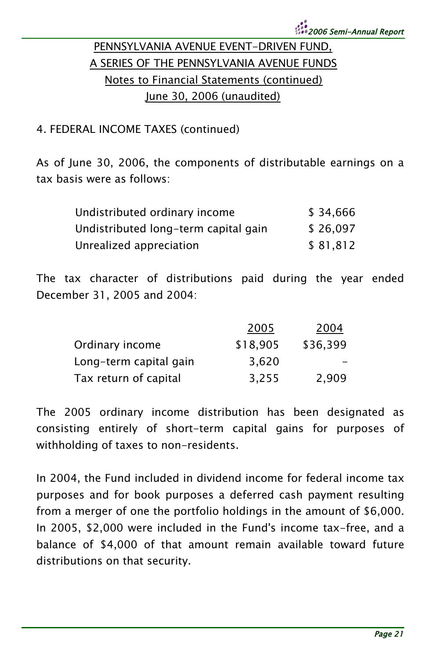#### 4. FEDERAL INCOME TAXES (continued)

As of June 30, 2006, the components of distributable earnings on a tax basis were as follows:

| Undistributed ordinary income        | \$34,666  |
|--------------------------------------|-----------|
| Undistributed long-term capital gain | \$26,097  |
| Unrealized appreciation              | \$ 81.812 |

The tax character of distributions paid during the year ended December 31, 2005 and 2004:

|                        | 2005     | 2004     |
|------------------------|----------|----------|
| Ordinary income        | \$18,905 | \$36,399 |
| Long-term capital gain | 3.620    |          |
| Tax return of capital  | 3.255    | 2.909    |

The 2005 ordinary income distribution has been designated as consisting entirely of short-term capital gains for purposes of withholding of taxes to non-residents.

In 2004, the Fund included in dividend income for federal income tax purposes and for book purposes a deferred cash payment resulting from a merger of one the portfolio holdings in the amount of \$6,000. In 2005, \$2,000 were included in the Fund's income tax-free, and a balance of \$4,000 of that amount remain available toward future distributions on that security.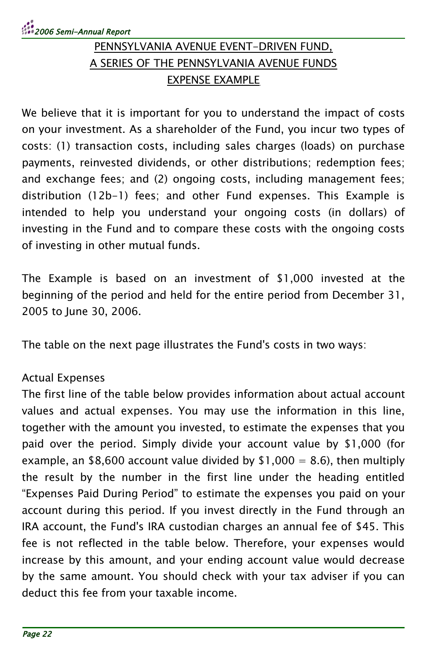# 2006 Semi-Annual Report

## PENNSYLVANIA AVENUE EVENT-DRIVEN FUND, A SERIES OF THE PENNSYLVANIA AVENUE FUNDS EXPENSE EXAMPLE

We believe that it is important for you to understand the impact of costs on your investment. As a shareholder of the Fund, you incur two types of costs: (1) transaction costs, including sales charges (loads) on purchase payments, reinvested dividends, or other distributions; redemption fees; and exchange fees; and (2) ongoing costs, including management fees; distribution (12b-1) fees; and other Fund expenses. This Example is intended to help you understand your ongoing costs (in dollars) of investing in the Fund and to compare these costs with the ongoing costs of investing in other mutual funds.

The Example is based on an investment of \$1,000 invested at the beginning of the period and held for the entire period from December 31, 2005 to June 30, 2006.

The table on the next page illustrates the Fund's costs in two ways:

#### Actual Expenses

The first line of the table below provides information about actual account values and actual expenses. You may use the information in this line, together with the amount you invested, to estimate the expenses that you paid over the period. Simply divide your account value by \$1,000 (for example, an \$8,600 account value divided by \$1,000 = 8.6), then multiply the result by the number in the first line under the heading entitled "Expenses Paid During Period" to estimate the expenses you paid on your account during this period. If you invest directly in the Fund through an IRA account, the Fund's IRA custodian charges an annual fee of \$45. This fee is not reflected in the table below. Therefore, your expenses would increase by this amount, and your ending account value would decrease by the same amount. You should check with your tax adviser if you can deduct this fee from your taxable income.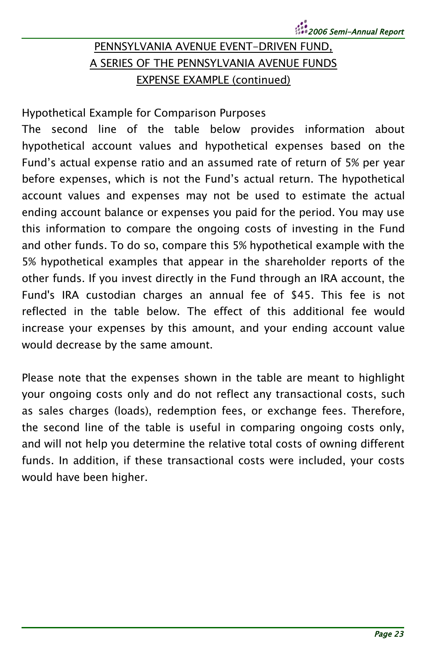### PENNSYLVANIA AVENUE EVENT-DRIVEN FUND, A SERIES OF THE PENNSYLVANIA AVENUE FUNDS EXPENSE EXAMPLE (continued)

Hypothetical Example for Comparison Purposes

The second line of the table below provides information about hypothetical account values and hypothetical expenses based on the Fund's actual expense ratio and an assumed rate of return of 5% per year before expenses, which is not the Fund's actual return. The hypothetical account values and expenses may not be used to estimate the actual ending account balance or expenses you paid for the period. You may use this information to compare the ongoing costs of investing in the Fund and other funds. To do so, compare this 5% hypothetical example with the 5% hypothetical examples that appear in the shareholder reports of the other funds. If you invest directly in the Fund through an IRA account, the Fund's IRA custodian charges an annual fee of \$45. This fee is not reflected in the table below. The effect of this additional fee would increase your expenses by this amount, and your ending account value would decrease by the same amount.

Please note that the expenses shown in the table are meant to highlight your ongoing costs only and do not reflect any transactional costs, such as sales charges (loads), redemption fees, or exchange fees. Therefore, the second line of the table is useful in comparing ongoing costs only, and will not help you determine the relative total costs of owning different funds. In addition, if these transactional costs were included, your costs would have been higher.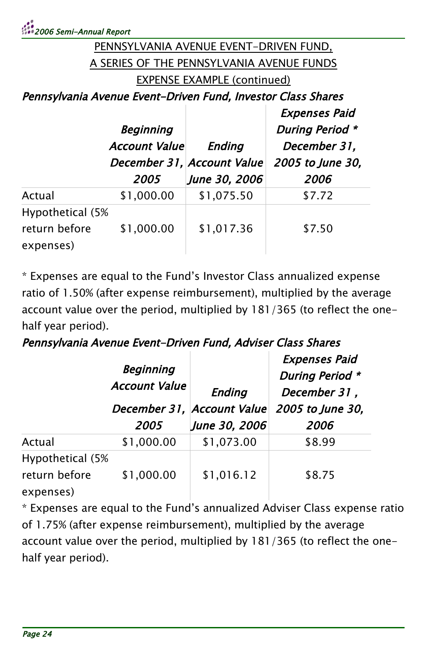### PENNSYLVANIA AVENUE EVENT-DRIVEN FUND, A SERIES OF THE PENNSYLVANIA AVENUE FUNDS EXPENSE EXAMPLE (continued)

Pennsylvania Avenue Event-Driven Fund, Investor Class Shares

|                                                | <b>Beginning</b><br><b>Account Value</b> | Ending<br>December 31, Account Value | <b>Expenses Paid</b><br><b>During Period *</b><br>December 31,<br>2005 to June 30, |
|------------------------------------------------|------------------------------------------|--------------------------------------|------------------------------------------------------------------------------------|
|                                                | 2005                                     | June 30, 2006                        | 2006                                                                               |
| Actual                                         | \$1,000.00                               | \$1,075.50                           | \$7.72                                                                             |
| Hypothetical (5%<br>return before<br>expenses) | \$1,000.00                               | \$1,017.36                           | \$7.50                                                                             |

\* Expenses are equal to the Fund's Investor Class annualized expense ratio of 1.50% (after expense reimbursement), multiplied by the average account value over the period, multiplied by 181/365 (to reflect the onehalf year period).

#### Pennsylvania Avenue Event-Driven Fund, Adviser Class Shares

|                                                | <b>Beginning</b><br><b>Account Value</b><br>2005 | Ending<br>December 31, Account Value<br>June 30, 2006 | <b>Expenses Paid</b><br><b>During Period *</b><br>December 31,<br>2005 to June 30,<br>2006 |
|------------------------------------------------|--------------------------------------------------|-------------------------------------------------------|--------------------------------------------------------------------------------------------|
| Actual                                         | \$1,000.00                                       | \$1,073.00                                            | \$8.99                                                                                     |
| Hypothetical (5%<br>return before<br>expenses) | \$1,000.00                                       | \$1,016.12                                            | \$8.75                                                                                     |

\* Expenses are equal to the Fund's annualized Adviser Class expense ratio of 1.75% (after expense reimbursement), multiplied by the average account value over the period, multiplied by 181/365 (to reflect the onehalf year period).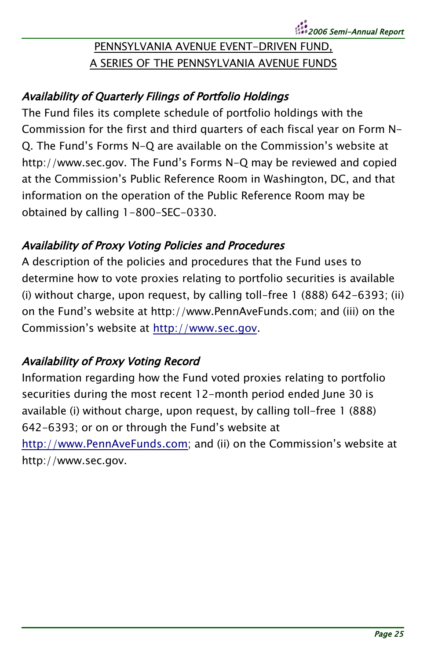### PENNSYLVANIA AVENUE EVENT-DRIVEN FUND, A SERIES OF THE PENNSYLVANIA AVENUE FUNDS

### Availability of Quarterly Filings of Portfolio Holdings

The Fund files its complete schedule of portfolio holdings with the Commission for the first and third quarters of each fiscal year on Form N-Q. The Fund's Forms N-Q are available on the Commission's website at http://www.sec.gov. The Fund's Forms N-Q may be reviewed and copied at the Commission's Public Reference Room in Washington, DC, and that information on the operation of the Public Reference Room may be obtained by calling 1-800-SEC-0330.

#### Availability of Proxy Voting Policies and Procedures

A description of the policies and procedures that the Fund uses to determine how to vote proxies relating to portfolio securities is available (i) without charge, upon request, by calling toll-free 1 (888) 642-6393; (ii) on the Fund's website at http://www.PennAveFunds.com; and (iii) on the Commission's website at [http://www.sec.gov.](http://www.sec.gov/)

### Availability of Proxy Voting Record

Information regarding how the Fund voted proxies relating to portfolio securities during the most recent 12-month period ended June 30 is available (i) without charge, upon request, by calling toll-free 1 (888) 642-6393; or on or through the Fund's website at [http://www.PennAveFunds.com;](http://www.PennAveFunds.com/) and (ii) on the Commission's website at http://www.sec.gov.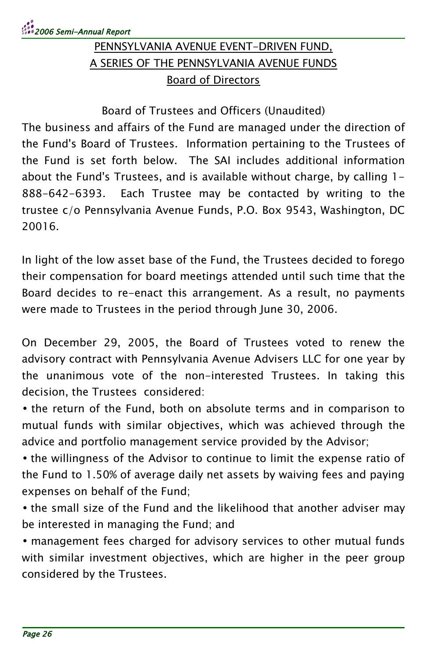# PENNSYLVANIA AVENUE EVENT-DRIVEN FUND, A SERIES OF THE PENNSYLVANIA AVENUE FUNDS Board of Directors

Board of Trustees and Officers (Unaudited)

The business and affairs of the Fund are managed under the direction of the Fund's Board of Trustees. Information pertaining to the Trustees of the Fund is set forth below. The SAI includes additional information about the Fund's Trustees, and is available without charge, by calling 1- 888-642-6393. Each Trustee may be contacted by writing to the trustee c/o Pennsylvania Avenue Funds, P.O. Box 9543, Washington, DC 20016.

In light of the low asset base of the Fund, the Trustees decided to forego their compensation for board meetings attended until such time that the Board decides to re-enact this arrangement. As a result, no payments were made to Trustees in the period through June 30, 2006.

On December 29, 2005, the Board of Trustees voted to renew the advisory contract with Pennsylvania Avenue Advisers LLC for one year by the unanimous vote of the non-interested Trustees. In taking this decision, the Trustees considered:

• the return of the Fund, both on absolute terms and in comparison to mutual funds with similar objectives, which was achieved through the advice and portfolio management service provided by the Advisor;

• the willingness of the Advisor to continue to limit the expense ratio of the Fund to 1.50% of average daily net assets by waiving fees and paying expenses on behalf of the Fund;

• the small size of the Fund and the likelihood that another adviser may be interested in managing the Fund; and

• management fees charged for advisory services to other mutual funds with similar investment objectives, which are higher in the peer group considered by the Trustees.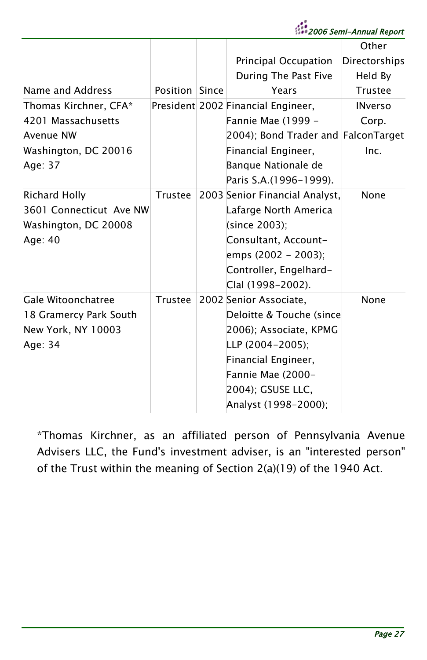|                                                                                                      |                |                                                                                                                                                                                                                          | <br>2006 Semi-Annual Report                                                     |
|------------------------------------------------------------------------------------------------------|----------------|--------------------------------------------------------------------------------------------------------------------------------------------------------------------------------------------------------------------------|---------------------------------------------------------------------------------|
| Name and Address<br>Thomas Kirchner, CFA*<br>4201 Massachusetts<br>Avenue NW<br>Washington, DC 20016 | Position Since | Principal Occupation<br>During The Past Five<br>Years<br>President 2002 Financial Engineer,<br>Fannie Mae (1999 -<br>2004); Bond Trader and FalconTarget<br>Financial Engineer,                                          | Other<br>Directorships<br>Held By<br>Trustee<br><b>INverso</b><br>Corp.<br>Inc. |
| Age: 37<br><b>Richard Holly</b><br>3601 Connecticut Ave NW<br>Washington, DC 20008<br>Age: 40        | <b>Trustee</b> | Banque Nationale de<br>Paris S.A. (1996-1999).<br>2003 Senior Financial Analyst,<br>Lafarge North America<br>(since 2003);<br>Consultant, Account-<br>emps (2002 - 2003);<br>Controller, Engelhard-<br>Clal (1998-2002). | None                                                                            |
| Gale Witoonchatree<br>18 Gramercy Park South<br>New York, NY 10003<br>Age: 34                        | Trustee        | 2002 Senior Associate,<br>Deloitte & Touche (since<br>2006); Associate, KPMG<br>LLP (2004-2005);<br>Financial Engineer,<br>Fannie Mae (2000-<br>2004); GSUSE LLC,<br>Analyst (1998-2000);                                | None                                                                            |

\*Thomas Kirchner, as an affiliated person of Pennsylvania Avenue Advisers LLC, the Fund's investment adviser, is an "interested person" of the Trust within the meaning of Section 2(a)(19) of the 1940 Act.